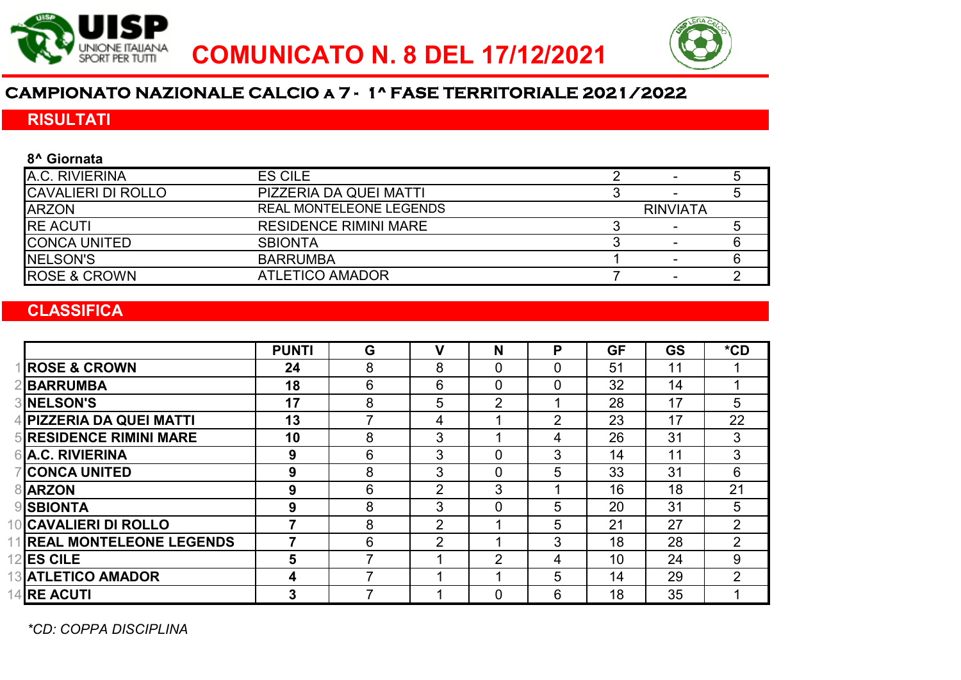



# **CAMPIONATO NAZIONALE CALCIO a 7 - 1^ FASE TERRITORIALE 2021/2022**

## RISULTATI

| 8 <sup>^</sup> Giornata   |                                |                 |  |  |  |  |
|---------------------------|--------------------------------|-----------------|--|--|--|--|
| A.C. RIVIERINA            | <b>ES CILE</b>                 |                 |  |  |  |  |
| <b>CAVALIERI DI ROLLO</b> | PIZZERIA DA QUEI MATTI         |                 |  |  |  |  |
| <b>ARZON</b>              | <b>REAL MONTELEONE LEGENDS</b> | <b>RINVIATA</b> |  |  |  |  |
| <b>RE ACUTI</b>           | <b>RESIDENCE RIMINI MARE</b>   |                 |  |  |  |  |
| <b>CONCA UNITED</b>       | <b>SBIONTA</b>                 |                 |  |  |  |  |
| <b>INELSON'S</b>          | <b>BARRUMBA</b>                |                 |  |  |  |  |
| <b>IROSE &amp; CROWN</b>  | <b>ATLETICO AMADOR</b>         |                 |  |  |  |  |

## **CLASSIFICA**

|                                | <b>PUNTI</b> | G | V              | N              | P              | <b>GF</b> | <b>GS</b> | $*$ CD         |
|--------------------------------|--------------|---|----------------|----------------|----------------|-----------|-----------|----------------|
| <b>ROSE &amp; CROWN</b>        | 24           | 8 | 8              | $\overline{0}$ | $\Omega$       | 51        | 11        |                |
| <b>BARRUMBA</b>                | 18           | 6 | 6              | 0              | $\overline{0}$ | 32        | 14        |                |
| <b>3INELSON'S</b>              | 17           | 8 | 5              | 2              |                | 28        | 17        | 5              |
| 4 PIZZERIA DA QUEI MATTI       | 13           |   | 4              |                | 2              | 23        | 17        | 22             |
| <b>5 RESIDENCE RIMINI MARE</b> | 10           | 8 | 3              |                | 4              | 26        | 31        | 3              |
| <b>6 A.C. RIVIERINA</b>        | 9            | 6 | 3              | $\mathbf 0$    | 3              | 14        | 11        | 3              |
| <b>CONCA UNITED</b>            | 9            | 8 | 3              | 0              | 5              | 33        | 31        | 6              |
| <b>8</b> ARZON                 | 9            | 6 | $\overline{2}$ | 3              |                | 16        | 18        | 21             |
| <b>9</b> SBIONTA               | 9            | 8 | 3              | 0              | 5              | 20        | 31        | 5              |
| 10 CAVALIERI DI ROLLO          |              | 8 | $\overline{2}$ |                | 5              | 21        | 27        | $\overline{2}$ |
| 11 REAL MONTELEONE LEGENDS     |              | 6 | $\overline{2}$ |                | 3              | 18        | 28        | $\overline{2}$ |
| 12 ES CILE                     | 5            |   |                | $\overline{2}$ | 4              | 10        | 24        | 9              |
| <b>13 ATLETICO AMADOR</b>      | 4            |   |                |                | 5              | 14        | 29        | $\overline{2}$ |
| 14 RE ACUTI                    | 3            |   |                | $\mathbf 0$    | 6              | 18        | 35        |                |

*\*CD: COPPA DISCIPLINA*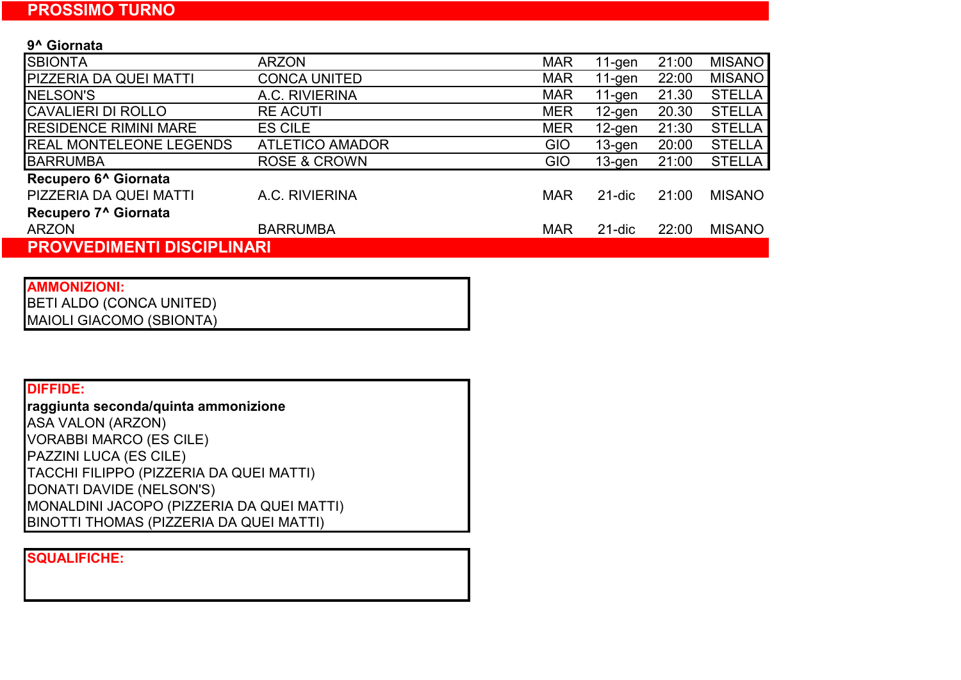| 9^ Giornata                       |                         |            |           |       |               |  |
|-----------------------------------|-------------------------|------------|-----------|-------|---------------|--|
| <b>SBIONTA</b>                    | <b>ARZON</b>            | <b>MAR</b> | $11-gen$  | 21:00 | <b>MISANO</b> |  |
| <b>PIZZERIA DA QUEI MATTI</b>     | <b>CONCA UNITED</b>     | <b>MAR</b> | $11-gen$  | 22:00 | <b>MISANO</b> |  |
| NELSON'S                          | A.C. RIVIERINA          | <b>MAR</b> | $11-gen$  | 21.30 | <b>STELLA</b> |  |
| <b>CAVALIERI DI ROLLO</b>         | <b>RE ACUTI</b>         | <b>MER</b> | $12$ -gen | 20.30 | <b>STELLA</b> |  |
| <b>RESIDENCE RIMINI MARE</b>      | <b>ES CILE</b>          | <b>MER</b> | $12$ -gen | 21:30 | <b>STELLA</b> |  |
| <b>REAL MONTELEONE LEGENDS</b>    | <b>ATLETICO AMADOR</b>  | <b>GIO</b> | $13$ -gen | 20:00 | <b>STELLA</b> |  |
| <b>BARRUMBA</b>                   | <b>ROSE &amp; CROWN</b> | <b>GIO</b> | $13$ -gen | 21:00 | <b>STELLA</b> |  |
| Recupero 6 <sup>^</sup> Giornata  |                         |            |           |       |               |  |
| PIZZERIA DA QUEI MATTI            | A.C. RIVIERINA          | <b>MAR</b> | $21$ -dic | 21:00 | <b>MISANO</b> |  |
| Recupero 7^ Giornata              |                         |            |           |       |               |  |
| <b>ARZON</b>                      | <b>BARRUMBA</b>         | <b>MAR</b> | $21$ -dic | 22:00 | <b>MISANO</b> |  |
| <b>PROVVEDIMENTI DISCIPLINARI</b> |                         |            |           |       |               |  |

#### AMMONIZIONI: BETI ALDO (CONCA UNITED) MAIOLI GIACOMO (SBIONTA)

b.

#### DIFFIDE: raggiunta seconda/quinta ammonizione VORABBI MARCO (ES CILE) PAZZINI LUCA (ES CILE) TACCHI FILIPPO (PIZZERIA DA QUEI MATTI) DONATI DAVIDE (NELSON'S) MONALDINI JACOPO (PIZZERIA DA QUEI MATTI) ASA VALON (ARZON) BINOTTI THOMAS (PIZZERIA DA QUEI MATTI)

### SQUALIFICHE: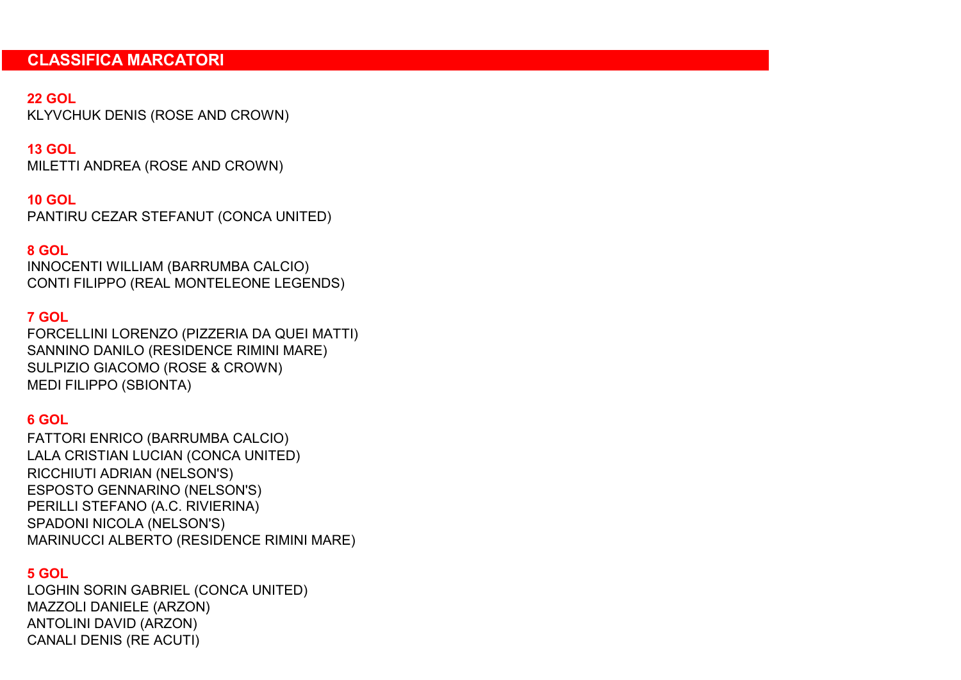#### CLASSIFICA MARCATORI

#### 22 GOL

KLYVCHUK DENIS (ROSE AND CROWN)

#### 13 GOL

MILETTI ANDREA (ROSE AND CROWN)

#### 10 GOL

PANTIRU CEZAR STEFANUT (CONCA UNITED)

### 8 GOL

INNOCENTI WILLIAM (BARRUMBA CALCIO) CONTI FILIPPO (REAL MONTELEONE LEGENDS)

### 7 GOL

SULPIZIO GIACOMO (ROSE & CROWN) MEDI FILIPPO (SBIONTA) FORCELLINI LORENZO (PIZZERIA DA QUEI MATTI) SANNINO DANILO (RESIDENCE RIMINI MARE)

#### 6 GOL

RICCHIUTI ADRIAN (NELSON'S) ESPOSTO GENNARINO (NELSON'S) SPADONI NICOLA (NELSON'S) MARINUCCI ALBERTO (RESIDENCE RIMINI MARE) PERILLI STEFANO (A.C. RIVIERINA) LALA CRISTIAN LUCIAN (CONCA UNITED) FATTORI ENRICO (BARRUMBA CALCIO)

#### 5 GOL

LOGHIN SORIN GABRIEL (CONCA UNITED) MAZZOLI DANIELE (ARZON) CANALI DENIS (RE ACUTI) ANTOLINI DAVID (ARZON)